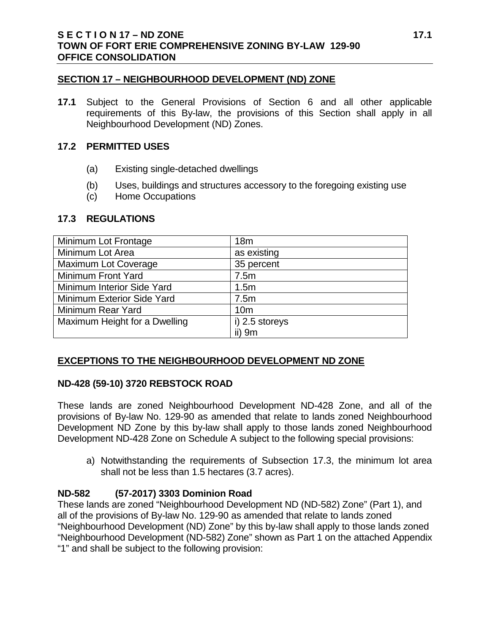## **SECTION 17 – NEIGHBOURHOOD DEVELOPMENT (ND) ZONE**

**17.1** Subject to the General Provisions of Section 6 and all other applicable requirements of this By-law, the provisions of this Section shall apply in all Neighbourhood Development (ND) Zones.

## **17.2 PERMITTED USES**

- (a) Existing single-detached dwellings
- (b) Uses, buildings and structures accessory to the foregoing existing use
- (c) Home Occupations

## **17.3 REGULATIONS**

| Minimum Lot Frontage          | 18 <sub>m</sub> |
|-------------------------------|-----------------|
| Minimum Lot Area              | as existing     |
| <b>Maximum Lot Coverage</b>   | 35 percent      |
| Minimum Front Yard            | 7.5m            |
| Minimum Interior Side Yard    | 1.5m            |
| Minimum Exterior Side Yard    | 7.5m            |
| Minimum Rear Yard             | 10 <sub>m</sub> |
| Maximum Height for a Dwelling | i) 2.5 storeys  |
|                               | ii) $9m$        |

# **EXCEPTIONS TO THE NEIGHBOURHOOD DEVELOPMENT ND ZONE**

## **ND-428 (59-10) 3720 REBSTOCK ROAD**

These lands are zoned Neighbourhood Development ND-428 Zone, and all of the provisions of By-law No. 129-90 as amended that relate to lands zoned Neighbourhood Development ND Zone by this by-law shall apply to those lands zoned Neighbourhood Development ND-428 Zone on Schedule A subject to the following special provisions:

a) Notwithstanding the requirements of Subsection 17.3, the minimum lot area shall not be less than 1.5 hectares (3.7 acres).

## **ND-582 (57-2017) 3303 Dominion Road**

These lands are zoned "Neighbourhood Development ND (ND-582) Zone" (Part 1), and all of the provisions of By-law No. 129-90 as amended that relate to lands zoned "Neighbourhood Development (ND) Zone" by this by-law shall apply to those lands zoned "Neighbourhood Development (ND-582) Zone" shown as Part 1 on the attached Appendix "1" and shall be subject to the following provision: